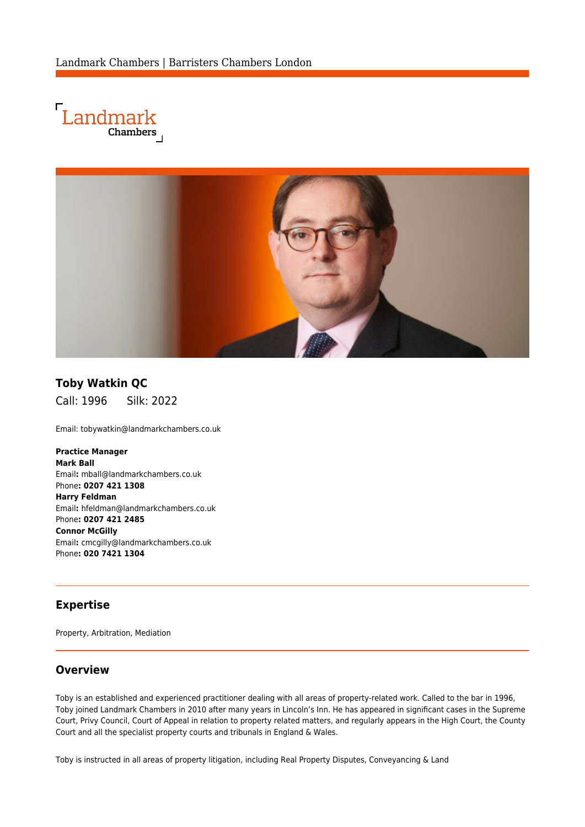



# **Toby Watkin QC**

Call: 1996 Silk: 2022

Email: [tobywatkin@landmarkchambers.co.uk](mailto:tobywatkin@landmarkchambers.co.uk)

**Practice Manager Mark Ball** Email**:** [mball@landmarkchambers.co.uk](mailto:mball@landmarkchambers.co.uk) Phone**: 0207 421 1308 Harry Feldman** Email**:** [hfeldman@landmarkchambers.co.uk](mailto:hfeldman@landmarkchambers.co.uk) Phone**: 0207 421 2485 Connor McGilly** Email**:** [cmcgilly@landmarkchambers.co.uk](mailto:cmcgilly@landmarkchambers.co.uk) Phone**: 020 7421 1304**

#### **Expertise**

Property, Arbitration, Mediation

#### **Overview**

Toby is an established and experienced practitioner dealing with all areas of property-related work. Called to the bar in 1996, Toby joined Landmark Chambers in 2010 after many years in Lincoln's Inn. He has appeared in significant cases in the Supreme Court, Privy Council, Court of Appeal in relation to property related matters, and regularly appears in the High Court, the County Court and all the specialist property courts and tribunals in England & Wales.

Toby is instructed in all areas of property litigation, including Real Property Disputes, Conveyancing & Land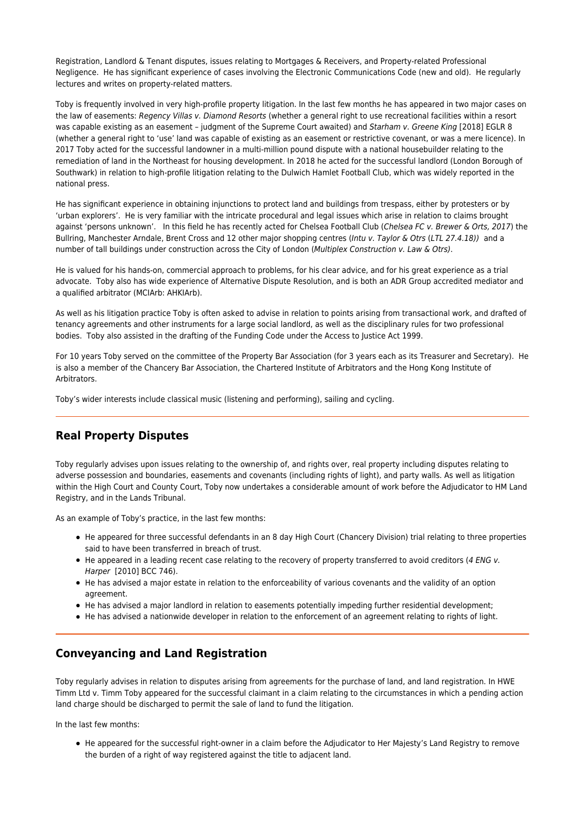Registration, Landlord & Tenant disputes, issues relating to Mortgages & Receivers, and Property-related Professional Negligence. He has significant experience of cases involving the Electronic Communications Code (new and old). He regularly lectures and writes on property-related matters.

Toby is frequently involved in very high-profile property litigation. In the last few months he has appeared in two major cases on the law of easements: Regency Villas v. Diamond Resorts (whether a general right to use recreational facilities within a resort was capable existing as an easement – judgment of the Supreme Court awaited) and Starham v. Greene King [2018] EGLR 8 (whether a general right to 'use' land was capable of existing as an easement or restrictive covenant, or was a mere licence). In 2017 Toby acted for the successful landowner in a multi-million pound dispute with a national housebuilder relating to the remediation of land in the Northeast for housing development. In 2018 he acted for the successful landlord (London Borough of Southwark) in relation to high-profile litigation relating to the Dulwich Hamlet Football Club, which was widely reported in the national press.

He has significant experience in obtaining injunctions to protect land and buildings from trespass, either by protesters or by 'urban explorers'. He is very familiar with the intricate procedural and legal issues which arise in relation to claims brought against 'persons unknown'. In this field he has recently acted for Chelsea Football Club (Chelsea FC v. Brewer & Orts, 2017) the Bullring, Manchester Arndale, Brent Cross and 12 other major shopping centres (Intu v. Taylor & Otrs (LTL 27.4.18)) and a number of tall buildings under construction across the City of London (Multiplex Construction v. Law & Otrs).

He is valued for his hands-on, commercial approach to problems, for his clear advice, and for his great experience as a trial advocate. Toby also has wide experience of Alternative Dispute Resolution, and is both an ADR Group accredited mediator and a qualified arbitrator (MCIArb: AHKIArb).

As well as his litigation practice Toby is often asked to advise in relation to points arising from transactional work, and drafted of tenancy agreements and other instruments for a large social landlord, as well as the disciplinary rules for two professional bodies. Toby also assisted in the drafting of the Funding Code under the Access to Justice Act 1999.

For 10 years Toby served on the committee of the Property Bar Association (for 3 years each as its Treasurer and Secretary). He is also a member of the Chancery Bar Association, the Chartered Institute of Arbitrators and the Hong Kong Institute of Arbitrators.

Toby's wider interests include classical music (listening and performing), sailing and cycling.

### **Real Property Disputes**

Toby regularly advises upon issues relating to the ownership of, and rights over, real property including disputes relating to adverse possession and boundaries, easements and covenants (including rights of light), and party walls. As well as litigation within the High Court and County Court, Toby now undertakes a considerable amount of work before the Adjudicator to HM Land Registry, and in the Lands Tribunal.

As an example of Toby's practice, in the last few months:

- He appeared for three successful defendants in an 8 day High Court (Chancery Division) trial relating to three properties said to have been transferred in breach of trust.
- He appeared in a leading recent case relating to the recovery of property transferred to avoid creditors (4 ENG v. Harper [2010] BCC 746).
- He has advised a major estate in relation to the enforceability of various covenants and the validity of an option agreement.
- He has advised a major landlord in relation to easements potentially impeding further residential development;
- He has advised a nationwide developer in relation to the enforcement of an agreement relating to rights of light.

### **Conveyancing and Land Registration**

Toby regularly advises in relation to disputes arising from agreements for the purchase of land, and land registration. In [HWE](http://landmarkchambers.co.uk/%7Bsite_url%7Dexpertise/case/hwe_timm_farmers_ltd_v_timm) [Timm Ltd v. Timm](http://landmarkchambers.co.uk/%7Bsite_url%7Dexpertise/case/hwe_timm_farmers_ltd_v_timm) Toby appeared for the successful claimant in a claim relating to the circumstances in which a pending action land charge should be discharged to permit the sale of land to fund the litigation.

In the last few months:

He appeared for the successful right-owner in a claim before the Adjudicator to Her Majesty's Land Registry to remove the burden of a right of way registered against the title to adjacent land.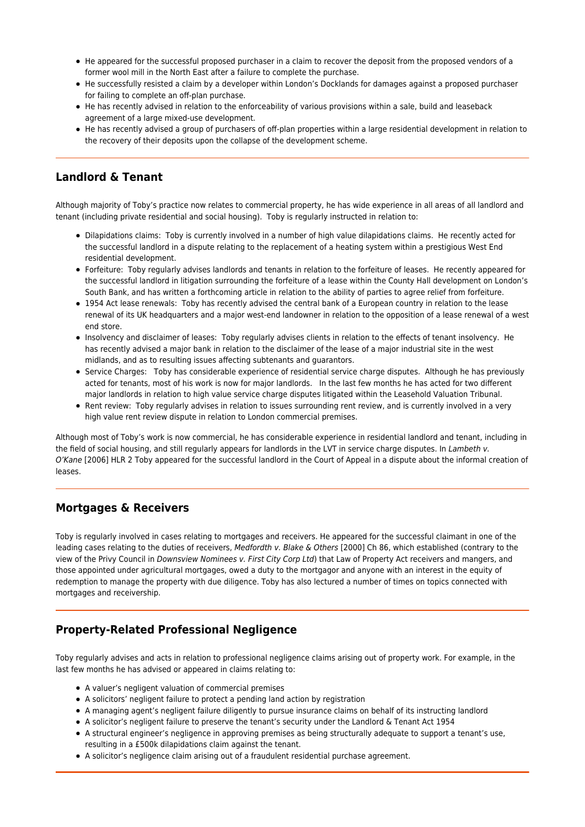- He appeared for the successful proposed purchaser in a claim to recover the deposit from the proposed vendors of a former wool mill in the North East after a failure to complete the purchase.
- He successfully resisted a claim by a developer within London's Docklands for damages against a proposed purchaser for failing to complete an off-plan purchase.
- He has recently advised in relation to the enforceability of various provisions within a sale, build and leaseback agreement of a large mixed-use development.
- He has recently advised a group of purchasers of off-plan properties within a large residential development in relation to the recovery of their deposits upon the collapse of the development scheme.

### **Landlord & Tenant**

Although majority of Toby's practice now relates to commercial property, he has wide experience in all areas of all landlord and tenant (including private residential and social housing). Toby is regularly instructed in relation to:

- Dilapidations claims: Toby is currently involved in a number of high value dilapidations claims. He recently acted for the successful landlord in a dispute relating to the replacement of a heating system within a prestigious West End residential development.
- Forfeiture: Toby regularly advises landlords and tenants in relation to the forfeiture of leases. He recently appeared for the successful landlord in litigation surrounding the forfeiture of a lease within the County Hall development on London's South Bank, and has written a forthcoming article in relation to the ability of parties to agree relief from forfeiture.
- 1954 Act lease renewals: Toby has recently advised the central bank of a European country in relation to the lease renewal of its UK headquarters and a major west-end landowner in relation to the opposition of a lease renewal of a west end store.
- Insolvency and disclaimer of leases: Toby regularly advises clients in relation to the effects of tenant insolvency. He has recently advised a major bank in relation to the disclaimer of the lease of a major industrial site in the west midlands, and as to resulting issues affecting subtenants and guarantors.
- Service Charges: Toby has considerable experience of residential service charge disputes. Although he has previously acted for tenants, most of his work is now for major landlords. In the last few months he has acted for two different major landlords in relation to high value service charge disputes litigated within the Leasehold Valuation Tribunal.
- Rent review: Toby regularly advises in relation to issues surrounding rent review, and is currently involved in a very high value rent review dispute in relation to London commercial premises.

Although most of Toby's work is now commercial, he has considerable experience in residential landlord and tenant, including in the field of social housing, and still regularly appears for landlords in the LVT in service charge disputes. In Lambeth v. O'Kane [2006] HLR 2 Toby appeared for the successful landlord in the Court of Appeal in a dispute about the informal creation of leases.

### **Mortgages & Receivers**

Toby is regularly involved in cases relating to mortgages and receivers. He appeared for the successful claimant in one of the leading cases relating to the duties of receivers, Medfordth v. Blake & Others [2000] Ch 86, which established (contrary to the view of the Privy Council in Downsview Nominees v. First City Corp Ltd) that Law of Property Act receivers and mangers, and those appointed under agricultural mortgages, owed a duty to the mortgagor and anyone with an interest in the equity of redemption to manage the property with due diligence. Toby has also lectured a number of times on topics connected with mortgages and receivership.

# **Property-Related Professional Negligence**

Toby regularly advises and acts in relation to professional negligence claims arising out of property work. For example, in the last few months he has advised or appeared in claims relating to:

- A valuer's negligent valuation of commercial premises
- A solicitors' negligent failure to protect a pending land action by registration
- A managing agent's negligent failure diligently to pursue insurance claims on behalf of its instructing landlord
- A solicitor's negligent failure to preserve the tenant's security under the Landlord & Tenant Act 1954
- A structural engineer's negligence in approving premises as being structurally adequate to support a tenant's use, resulting in a £500k dilapidations claim against the tenant.
- A solicitor's negligence claim arising out of a fraudulent residential purchase agreement.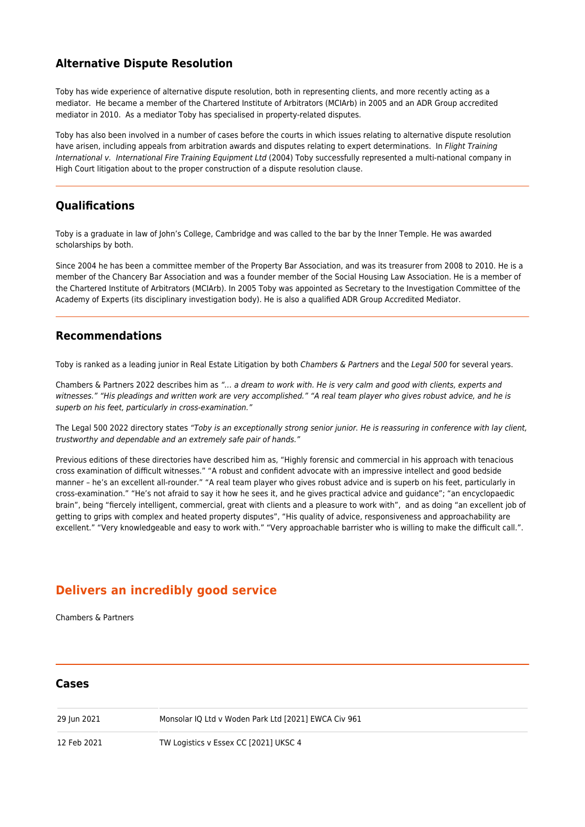## **Alternative Dispute Resolution**

Toby has wide experience of alternative dispute resolution, both in representing clients, and more recently acting as a mediator. He became a member of the Chartered Institute of Arbitrators (MCIArb) in 2005 and an ADR Group accredited mediator in 2010. As a mediator Toby has specialised in property-related disputes.

Toby has also been involved in a number of cases before the courts in which issues relating to alternative dispute resolution have arisen, including appeals from arbitration awards and disputes relating to expert determinations. In [Flight Training](http://lexisweb.co.uk/cases/2004/february/flight-training-international-v-international-fire-training-equipment-ltd) [International v. International Fire Training Equipment Ltd](http://lexisweb.co.uk/cases/2004/february/flight-training-international-v-international-fire-training-equipment-ltd) (2004) Toby successfully represented a multi-national company in High Court litigation about to the proper construction of a dispute resolution clause.

# **Qualifications**

Toby is a graduate in law of John's College, Cambridge and was called to the bar by the Inner Temple. He was awarded scholarships by both.

Since 2004 he has been a committee member of the Property Bar Association, and was its treasurer from 2008 to 2010. He is a member of the Chancery Bar Association and was a founder member of the Social Housing Law Association. He is a member of the Chartered Institute of Arbitrators (MCIArb). In 2005 Toby was appointed as Secretary to the Investigation Committee of the Academy of Experts (its disciplinary investigation body). He is also a qualified ADR Group Accredited Mediator.

### **Recommendations**

Toby is ranked as a leading junior in Real Estate Litigation by both Chambers & Partners and the Legal 500 for several years.

Chambers & Partners 2022 describes him as "… a dream to work with. He is very calm and good with clients, experts and witnesses." "His pleadings and written work are very accomplished." "A real team player who gives robust advice, and he is superb on his feet, particularly in cross-examination."

The Legal 500 2022 directory states "Toby is an exceptionally strong senior junior. He is reassuring in conference with lay client, trustworthy and dependable and an extremely safe pair of hands."

Previous editions of these directories have described him as, "Highly forensic and commercial in his approach with tenacious cross examination of difficult witnesses." "A robust and confident advocate with an impressive intellect and good bedside manner – he's an excellent all-rounder." "A real team player who gives robust advice and is superb on his feet, particularly in cross-examination." "He's not afraid to say it how he sees it, and he gives practical advice and guidance"; "an encyclopaedic brain", being "fiercely intelligent, commercial, great with clients and a pleasure to work with", and as doing "an excellent job of getting to grips with complex and heated property disputes", "His quality of advice, responsiveness and approachability are excellent." "Very knowledgeable and easy to work with." "Very approachable barrister who is willing to make the difficult call.".

# **Delivers an incredibly good service**

Chambers & Partners

#### **Cases**

29 Jun 2021 Monsolar IQ Ltd v Woden Park Ltd [2021] EWCA Civ 961

12 Feb 2021 TW Logistics v Essex CC [2021] UKSC 4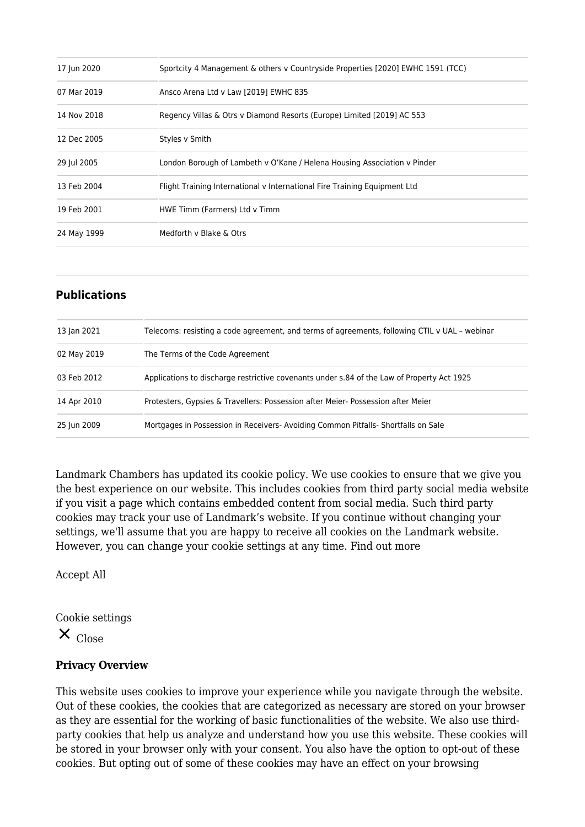| Sportcity 4 Management & others v Countryside Properties [2020] EWHC 1591 (TCC) |
|---------------------------------------------------------------------------------|
| Ansco Arena Ltd v Law [2019] EWHC 835                                           |
| Regency Villas & Otrs v Diamond Resorts (Europe) Limited [2019] AC 553          |
| Styles v Smith                                                                  |
| London Borough of Lambeth v O'Kane / Helena Housing Association v Pinder        |
| Flight Training International v International Fire Training Equipment Ltd       |
| HWE Timm (Farmers) Ltd v Timm                                                   |
| Medforth y Blake & Otrs                                                         |
|                                                                                 |

# **Publications**

| 13 Jan 2021 | Telecoms: resisting a code agreement, and terms of agreements, following CTIL v UAL - webinar |
|-------------|-----------------------------------------------------------------------------------------------|
| 02 May 2019 | The Terms of the Code Agreement                                                               |
| 03 Feb 2012 | Applications to discharge restrictive covenants under s.84 of the Law of Property Act 1925    |
| 14 Apr 2010 | Protesters, Gypsies & Travellers: Possession after Meier-Possession after Meier               |
| 25 Jun 2009 | Mortgages in Possession in Receivers- Avoiding Common Pitfalls- Shortfalls on Sale            |

Landmark Chambers has updated its cookie policy. We use cookies to ensure that we give you the best experience on our website. This includes cookies from third party social media website if you visit a page which contains embedded content from social media. Such third party cookies may track your use of Landmark's website. If you continue without changing your settings, we'll assume that you are happy to receive all cookies on the Landmark website. However, you can change your cookie settings at any time. [Find out more](https://www.landmarkchambers.co.uk/how-we-use-cookies/)

Accept All

Cookie settings

 $X_{\text{Close}}$ 

### **Privacy Overview**

This website uses cookies to improve your experience while you navigate through the website. Out of these cookies, the cookies that are categorized as necessary are stored on your browser as they are essential for the working of basic functionalities of the website. We also use thirdparty cookies that help us analyze and understand how you use this website. These cookies will be stored in your browser only with your consent. You also have the option to opt-out of these cookies. But opting out of some of these cookies may have an effect on your browsing